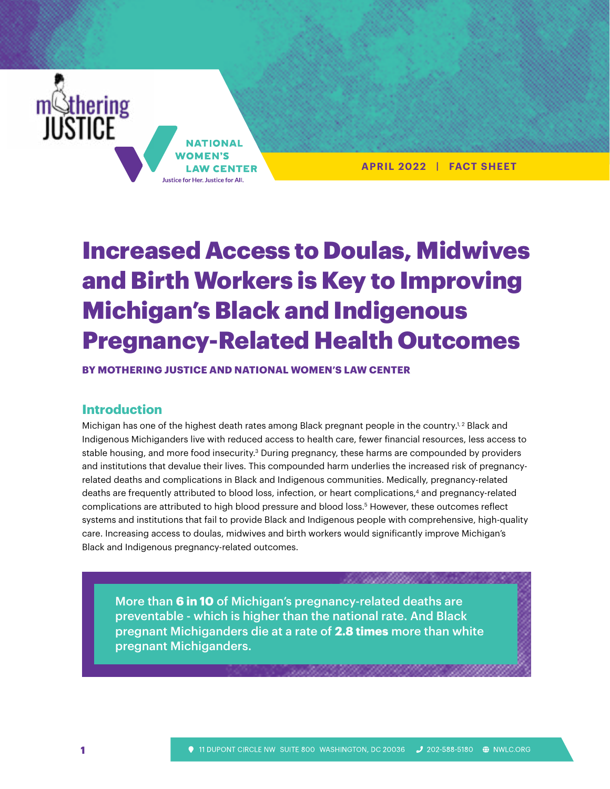

**APRIL 2022 | FACT SHEET**

# Increased Access to Doulas, Midwives and Birth Workers is Key to Improving Michigan's Black and Indigenous Pregnancy-Related Health Outcomes

**BY MOTHERING JUSTICE AND NATIONAL WOMEN'S LAW CENTER**

#### **Introduction**

Michigan has one of the highest death rates among Black pregnant people in the country.<sup>1,2</sup> Black and Indigenous Michiganders live with reduced access to health care, fewer financial resources, less access to stable housing, and more food insecurity.<sup>3</sup> During pregnancy, these harms are compounded by providers and institutions that devalue their lives. This compounded harm underlies the increased risk of pregnancyrelated deaths and complications in Black and Indigenous communities. Medically, pregnancy-related deaths are frequently attributed to blood loss, infection, or heart complications,<sup>4</sup> and pregnancy-related complications are attributed to high blood pressure and blood loss.5 However, these outcomes reflect systems and institutions that fail to provide Black and Indigenous people with comprehensive, high-quality care. Increasing access to doulas, midwives and birth workers would significantly improve Michigan's Black and Indigenous pregnancy-related outcomes.

More than **6 in 10** of Michigan's pregnancy-related deaths are preventable - which is higher than the national rate. And Black pregnant Michiganders die at a rate of **2.8 times** more than white pregnant Michiganders.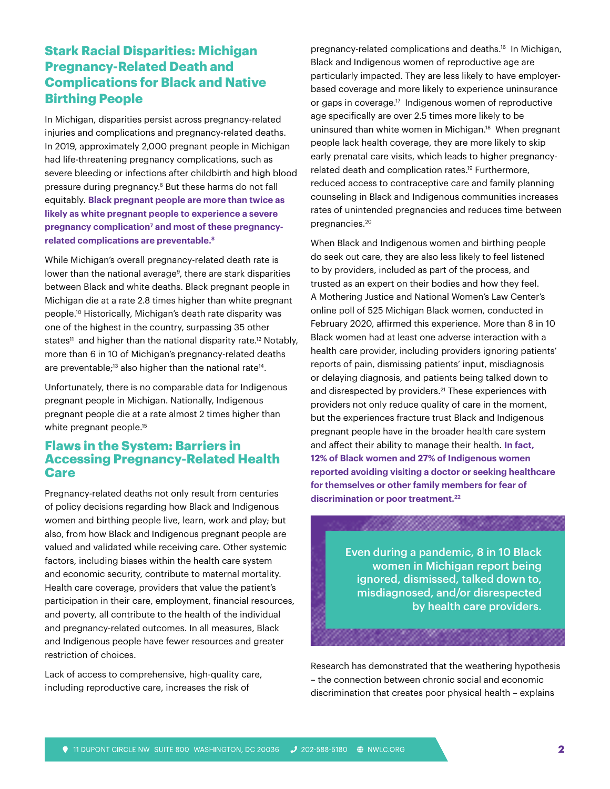## **Stark Racial Disparities: Michigan Pregnancy-Related Death and Complications for Black and Native Birthing People**

In Michigan, disparities persist across pregnancy-related injuries and complications and pregnancy-related deaths. In 2019, approximately 2,000 pregnant people in Michigan had life-threatening pregnancy complications, such as severe bleeding or infections after childbirth and high blood pressure during pregnancy.6 But these harms do not fall equitably. **Black pregnant people are more than twice as likely as white pregnant people to experience a severe**  pregnancy complication<sup>7</sup> and most of these pregnancy**related complications are preventable.8** 

While Michigan's overall pregnancy-related death rate is lower than the national average<sup>9</sup>, there are stark disparities between Black and white deaths. Black pregnant people in Michigan die at a rate 2.8 times higher than white pregnant people.10 Historically, Michigan's death rate disparity was one of the highest in the country, surpassing 35 other states<sup>11</sup> and higher than the national disparity rate.<sup>12</sup> Notably, more than 6 in 10 of Michigan's pregnancy-related deaths are preventable;<sup>13</sup> also higher than the national rate<sup>14</sup>.

Unfortunately, there is no comparable data for Indigenous pregnant people in Michigan. Nationally, Indigenous pregnant people die at a rate almost 2 times higher than white pregnant people.<sup>15</sup>

#### **Flaws in the System: Barriers in Accessing Pregnancy-Related Health Care**

Pregnancy-related deaths not only result from centuries of policy decisions regarding how Black and Indigenous women and birthing people live, learn, work and play; but also, from how Black and Indigenous pregnant people are valued and validated while receiving care. Other systemic factors, including biases within the health care system and economic security, contribute to maternal mortality. Health care coverage, providers that value the patient's participation in their care, employment, financial resources, and poverty, all contribute to the health of the individual and pregnancy-related outcomes. In all measures, Black and Indigenous people have fewer resources and greater restriction of choices.

Lack of access to comprehensive, high-quality care, including reproductive care, increases the risk of

pregnancy-related complications and deaths.16 In Michigan, Black and Indigenous women of reproductive age are particularly impacted. They are less likely to have employerbased coverage and more likely to experience uninsurance or gaps in coverage.<sup>17</sup> Indigenous women of reproductive age specifically are over 2.5 times more likely to be uninsured than white women in Michigan.<sup>18</sup> When pregnant people lack health coverage, they are more likely to skip early prenatal care visits, which leads to higher pregnancyrelated death and complication rates.<sup>19</sup> Furthermore, reduced access to contraceptive care and family planning counseling in Black and Indigenous communities increases rates of unintended pregnancies and reduces time between pregnancies.20

When Black and Indigenous women and birthing people do seek out care, they are also less likely to feel listened to by providers, included as part of the process, and trusted as an expert on their bodies and how they feel. A Mothering Justice and National Women's Law Center's online poll of 525 Michigan Black women, conducted in February 2020, affirmed this experience. More than 8 in 10 Black women had at least one adverse interaction with a health care provider, including providers ignoring patients' reports of pain, dismissing patients' input, misdiagnosis or delaying diagnosis, and patients being talked down to and disrespected by providers.<sup>21</sup> These experiences with providers not only reduce quality of care in the moment, but the experiences fracture trust Black and Indigenous pregnant people have in the broader health care system and affect their ability to manage their health. **In fact, 12% of Black women and 27% of Indigenous women reported avoiding visiting a doctor or seeking healthcare for themselves or other family members for fear of discrimination or poor treatment.22**

> Even during a pandemic, 8 in 10 Black women in Michigan report being ignored, dismissed, talked down to, misdiagnosed, and/or disrespected by health care providers.

aan aan ah

Research has demonstrated that the weathering hypothesis – the connection between chronic social and economic discrimination that creates poor physical health – explains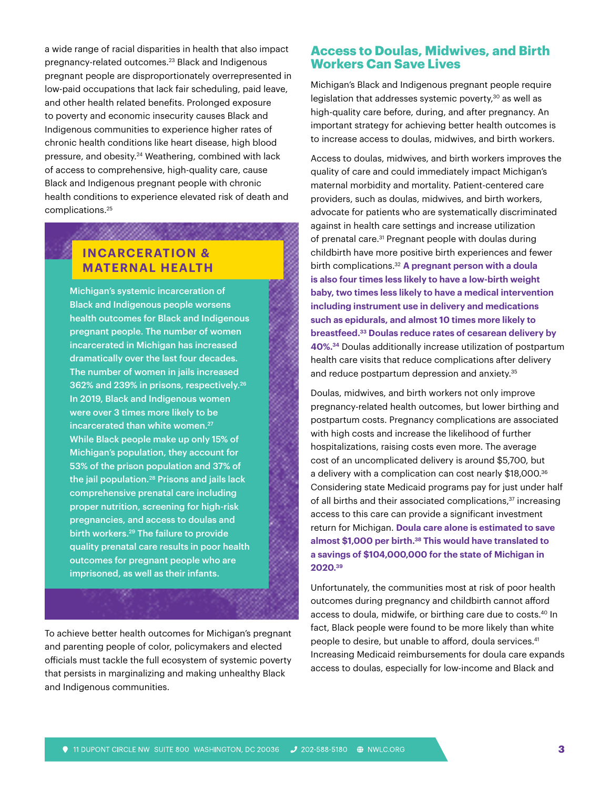a wide range of racial disparities in health that also impact pregnancy-related outcomes.23 Black and Indigenous pregnant people are disproportionately overrepresented in low-paid occupations that lack fair scheduling, paid leave, and other health related benefits. Prolonged exposure to poverty and economic insecurity causes Black and Indigenous communities to experience higher rates of chronic health conditions like heart disease, high blood pressure, and obesity.24 Weathering, combined with lack of access to comprehensive, high-quality care, cause Black and Indigenous pregnant people with chronic health conditions to experience elevated risk of death and complications.25

## **INCARCERATION & MATERNAL HEALTH**

<u>maan a</u>

Michigan's systemic incarceration of Black and Indigenous people worsens health outcomes for Black and Indigenous pregnant people. The number of women incarcerated in Michigan has increased dramatically over the last four decades. The number of women in jails increased 362% and 239% in prisons, respectively.26 In 2019, Black and Indigenous women were over 3 times more likely to be incarcerated than white women.<sup>27</sup> While Black people make up only 15% of Michigan's population, they account for 53% of the prison population and 37% of the jail population.28 Prisons and jails lack comprehensive prenatal care including proper nutrition, screening for high-risk pregnancies, and access to doulas and birth workers.29 The failure to provide quality prenatal care results in poor health outcomes for pregnant people who are imprisoned, as well as their infants.

To achieve better health outcomes for Michigan's pregnant and parenting people of color, policymakers and elected officials must tackle the full ecosystem of systemic poverty that persists in marginalizing and making unhealthy Black and Indigenous communities.

#### **Access to Doulas, Midwives, and Birth Workers Can Save Lives**

Michigan's Black and Indigenous pregnant people require legislation that addresses systemic poverty,<sup>30</sup> as well as high-quality care before, during, and after pregnancy. An important strategy for achieving better health outcomes is to increase access to doulas, midwives, and birth workers.

Access to doulas, midwives, and birth workers improves the quality of care and could immediately impact Michigan's maternal morbidity and mortality. Patient-centered care providers, such as doulas, midwives, and birth workers, advocate for patients who are systematically discriminated against in health care settings and increase utilization of prenatal care.<sup>31</sup> Pregnant people with doulas during childbirth have more positive birth experiences and fewer birth complications.32 **A pregnant person with a doula is also four times less likely to have a low-birth weight baby, two times less likely to have a medical intervention including instrument use in delivery and medications such as epidurals, and almost 10 times more likely to breastfeed.33 Doulas reduce rates of cesarean delivery by 40%.34** Doulas additionally increase utilization of postpartum health care visits that reduce complications after delivery and reduce postpartum depression and anxiety.<sup>35</sup>

Doulas, midwives, and birth workers not only improve pregnancy-related health outcomes, but lower birthing and postpartum costs. Pregnancy complications are associated with high costs and increase the likelihood of further hospitalizations, raising costs even more. The average cost of an uncomplicated delivery is around \$5,700, but a delivery with a complication can cost nearly \$18,000.36 Considering state Medicaid programs pay for just under half of all births and their associated complications,<sup>37</sup> increasing access to this care can provide a significant investment return for Michigan. **Doula care alone is estimated to save almost \$1,000 per birth.38 This would have translated to a savings of \$104,000,000 for the state of Michigan in 2020.39**

Unfortunately, the communities most at risk of poor health outcomes during pregnancy and childbirth cannot afford access to doula, midwife, or birthing care due to costs.<sup>40</sup> In fact, Black people were found to be more likely than white people to desire, but unable to afford, doula services.<sup>41</sup> Increasing Medicaid reimbursements for doula care expands access to doulas, especially for low-income and Black and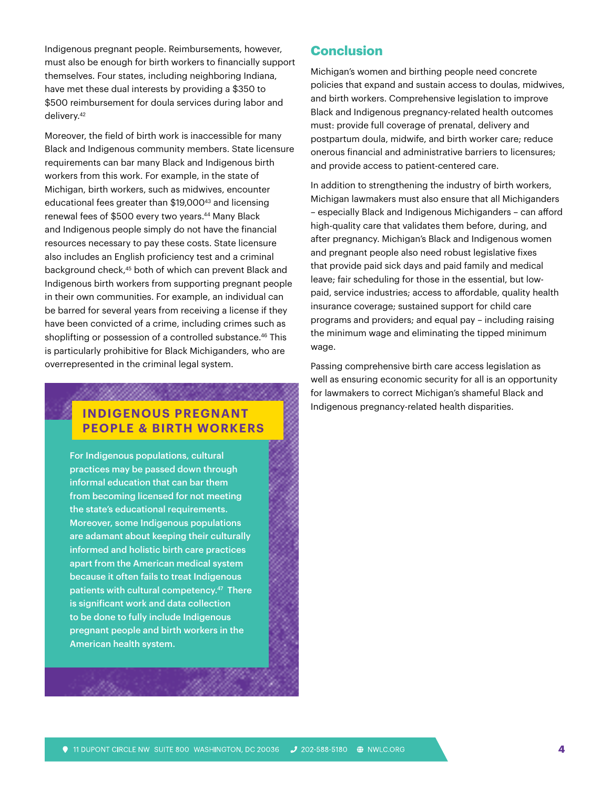Indigenous pregnant people. Reimbursements, however, must also be enough for birth workers to financially support themselves. Four states, including neighboring Indiana, have met these dual interests by providing a \$350 to \$500 reimbursement for doula services during labor and delivery.42

Moreover, the field of birth work is inaccessible for many Black and Indigenous community members. State licensure requirements can bar many Black and Indigenous birth workers from this work. For example, in the state of Michigan, birth workers, such as midwives, encounter educational fees greater than \$19,000<sup>43</sup> and licensing renewal fees of \$500 every two years.<sup>44</sup> Many Black and Indigenous people simply do not have the financial resources necessary to pay these costs. State licensure also includes an English proficiency test and a criminal background check,45 both of which can prevent Black and Indigenous birth workers from supporting pregnant people in their own communities. For example, an individual can be barred for several years from receiving a license if they have been convicted of a crime, including crimes such as shoplifting or possession of a controlled substance.<sup>46</sup> This is particularly prohibitive for Black Michiganders, who are overrepresented in the criminal legal system.

## **INDIGENOUS PREGNANT PEOPLE & BIRTH WORKERS**

,,,,,,,,,,,,,,,,,

For Indigenous populations, cultural practices may be passed down through informal education that can bar them from becoming licensed for not meeting the state's educational requirements. Moreover, some Indigenous populations are adamant about keeping their culturally informed and holistic birth care practices apart from the American medical system because it often fails to treat Indigenous patients with cultural competency.47 There is significant work and data collection to be done to fully include Indigenous pregnant people and birth workers in the American health system.

### **Conclusion**

Michigan's women and birthing people need concrete policies that expand and sustain access to doulas, midwives, and birth workers. Comprehensive legislation to improve Black and Indigenous pregnancy-related health outcomes must: provide full coverage of prenatal, delivery and postpartum doula, midwife, and birth worker care; reduce onerous financial and administrative barriers to licensures; and provide access to patient-centered care.

In addition to strengthening the industry of birth workers, Michigan lawmakers must also ensure that all Michiganders – especially Black and Indigenous Michiganders – can afford high-quality care that validates them before, during, and after pregnancy. Michigan's Black and Indigenous women and pregnant people also need robust legislative fixes that provide paid sick days and paid family and medical leave; fair scheduling for those in the essential, but lowpaid, service industries; access to affordable, quality health insurance coverage; sustained support for child care programs and providers; and equal pay – including raising the minimum wage and eliminating the tipped minimum wage.

Passing comprehensive birth care access legislation as well as ensuring economic security for all is an opportunity for lawmakers to correct Michigan's shameful Black and Indigenous pregnancy-related health disparities.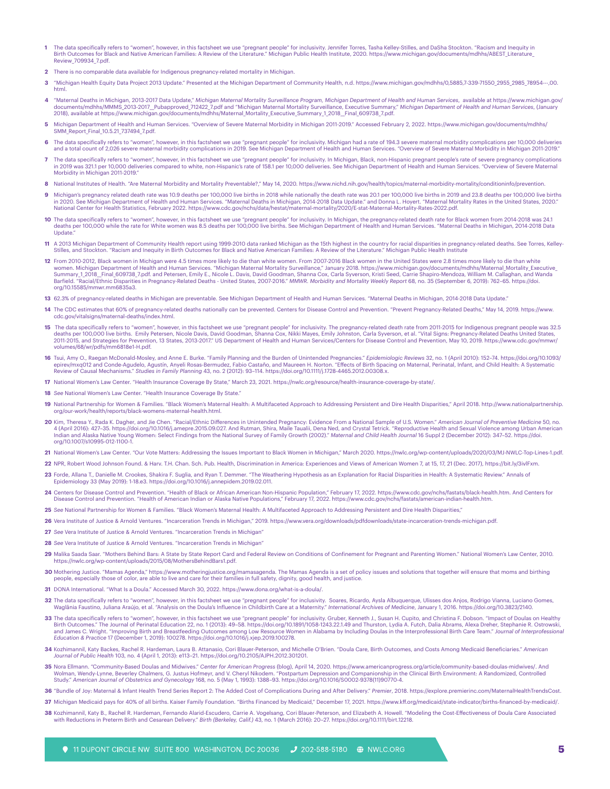- **1** The data specifically refers to "women", however, in this factsheet we use "pregnant people" for inclusivity. Jennifer Torres, Tasha Kelley-Stilles, and DaSha Stockton. "Racism and Inequity in Birth Outcomes for Black and Native American Families: A Review of the Literature." Michigan Public Health Institute, 2020. https://www.michigan.gov/documents/mdhhs/ABEST\_Literature Review\_709934\_7.pdf.
- **2** There is no comparable data available for Indigenous pregnancy-related mortality in Michigan.
- **3** "Michigan Health Equity Data Project 2013 Update." Presented at the Michigan Department of Community Health, n.d. https://www.michigan.gov/mdhhs/0,5885,7-339-71550\_2955\_2985\_78954---,00. html.
- **4** "Maternal Deaths in Michigan, 2013-2017 Data Update," *Michigan Maternal Mortality Surveillance Program, Michigan Department of Health and Human Services*, available at https://www.michigan.gov/ documents/mdhhs/MMMS\_2013-2017\_\_Pubapproved\_712422\_7.pdf and "Michigan Maternal Mortality Surveillance, Executive Summary," *Michigan Department of Health and Human Services*, (January 2018), available at https://www.michigan.gov/documents/mdhhs/Maternal\_Mortality\_Executive\_Summary\_1\_2018\_\_Final\_609738\_7.pdf.
- **5** Michigan Department of Health and Human Services. "Overview of Severe Maternal Morbidity in Michigan 2011-2019." Accessed February 2, 2022. https://www.michigan.gov/documents/mdhhs/ SMM\_Report\_Final\_10.5.21\_737494\_7.pdf.
- 6 The data specifically refers to "women", however, in this factsheet we use "pregnant people" for inclusivity. Michigan had a rate of 194.3 severe maternal morbidity complications per 10,000 deliveries and a total count of 2,026 severe maternal morbidity complications in 2019. See Michigan Department of Health and Human Services. "Overview of Severe Maternal Morbidity in Michigan 2011-2019."
- The data specifically refers to "women", however, in this factsheet we use "pregnant people" for inclusivity. In Michigan, Black, non-Hispanic pregnant people's rate of severe pregnancy complications in 2019 was 321.1 per 10,000 deliveries compared to white, non-Hispanic's rate of 158.1 per 10,000 deliveries. See Michigan Department of Health and Human Services. "Overview of Severe Maternal Morbidity in Michigan 2011-2019."
- nal Institutes of Health. "Are Maternal Morbidity and Mortality Preventable?," May 14, 2020. https://www.nichd.nih.gov/health/topics/maternal-morbidity-mortality/conditioninfo/prevention.
- **9** Michigan's pregnancy related death rate was 10.9 deaths per 100,000 live births in 2018 while nationally the death rate was 20.1 per 100,000 live births in 2019 and 23.8 deaths per 100,000 live births in 2020. See Michigan Department of Health and Human Services. "Maternal Deaths in Michigan, 2014-2018 Data Update." and Donna L. Hoyert. "Maternal Mortality Rates in the United States, 2020." National Center for Health Statistics, February 2022. https://www.cdc.gov/nchs/data/hestat/maternal-mortality/2020/E-stat-Maternal-Mortality-Rates-2022.pdf.
- **10** The data specifically refers to "women", however, in this factsheet we use "pregnant people" for inclusivity. In Michigan, the pregnancy-related death rate for Black women from 2014-2018 was 24.1 deaths per 100,000 while the rate for White women was 8.5 deaths per 100,000 live births. See Michigan Department of Health and Human Services. "Maternal Deaths in Michigan, 2014-2018 Data **Undate**
- -11 A 2013 Michigan Department of Community Health report using 1999-2010 data ranked Michigan as the 15th highest in the country for racial disparities in pregnancy-related deaths. See Torres, Kelley-<br>Stilles, and Stockto
- **12** From 2010-2012, Black women in Michigan were 4.5 times more likely to die than white women. From 2007-2016 Black women in the United States were 2.8 times more likely to die than white women. Michigan Department of Health and Human Services. "Michigan Maternal Mortality Surveillance," January 2018. https://www.michigan.gov/documents/mdhhs/Maternal\_Mortality\_Executive\_<br>Summary\_1\_2018\_\_Final\_609738\_7.pdf. Barfield. "Racial/Ethnic Disparities in Pregnancy-Related Deaths - United States, 2007-2016." *MMWR. Morbidity and Mortality Weekly Report* 68, no. 35 (September 6, 2019): 762–65. https://doi. org/10.15585/mmwr.mm6835a3.
- **13** 62.3% of pregnancy-related deaths in Michigan are preventable. See Michigan Department of Health and Human Services. "Maternal Deaths in Michigan, 2014-2018 Data Update."
- **14** The CDC estimates that 60% of pregnancy-related deaths nationally can be prevented. Centers for Disease Control and Prevention. "Prevent Pregnancy-Related Deaths," May 14, 2019. https://www. cdc.gov/vitalsigns/maternal-deaths/index.html.
- 15 The data specifically refers to "women", however, in this factsheet we use "pregnant people" for inclusivity. The pregnancy-related death rate from 2011-2015 for Indigenous pregnant people was 32.5 deaths per 100,000 live births. Emily Petersen, Nicole Davis, David Goodman, Shanna Cox, Nikki Mayes, Emily Johnston, Carla Syverson, et al. "Vital Signs: Pregnancy-Related Deaths United States,<br>2011-2015, and Strategies mes/68/wr/pdfs/mm6818e1-H.pdf.
- **16** Tsui, Amy O., Raegan McDonald-Mosley, and Anne E. Burke. "Family Planning and the Burden of Unintended Pregnancies." *Epidemiologic Reviews* 32, no. 1 (April 2010): 152–74. https://doi.org/10.1093/ epirev/mxq012 and Conde-Agudelo, Agustín, Anyeli Rosas-Bermudez, Fabio Castaño, and Maureen H. Norton. "Effects of Birth Spacing on Maternal, Perinatal, Infant, and Child Health: A Systematic<br>Review of Causal Mechanisms."
- **17** National Women's Law Center. "Health Insurance Coverage By State," March 23, 2021. https://nwlc.org/resource/health-insurance-coverage-by-state/.
- **18** *See* National Women's Law Center. "Health Insurance Coverage By State."
- **19** National Partnership for Women & Families. "Black Women's Maternal Health: A Multifaceted Approach to Addressing Persistent and Dire Health Disparities," April 2018. http://www.nationalpartnership. org/our-work/health/reports/black-womens-maternal-health.html.
- **20** Kim, Theresa Y., Rada K. Dagher, and Jie Chen. "Racial/Ethnic Differences in Unintended Pregnancy: Evidence From a National Sample of U.S. Women." *American Journal of Preventive Medicine* 50, no.<br>A (April 2016): 427 Indian and Alaska Native Young Women: Select Findings from the National Survey of Family Growth (2002)." *Maternal and Child Health Journal* 16 Suppl 2 (December 2012): 347–52. https://doi. org/10.1007/s10995-012-1100-1.
- **21** National Women's Law Center. "Our Vote Matters: Addressing the Issues Important to Black Women in Michigan," March 2020. https://nwlc.org/wp-content/uploads/2020/03/MJ-NWLC-Top-Lines-1.pdf.
- **22** NPR, Robert Wood Johnson Found. & Harv. T.H. Chan. Sch. Pub. Health, Discrimination in America: Experiences and Views of American Women 7, at 15, 17, 21 (Dec. 2017), https://bit.ly/3ivlFxm.
- **23** Forde, Allana T., Danielle M. Crookes, Shakira F. Suglia, and Ryan T. Demmer. "The Weathering Hypothesis as an Explanation for Racial Disparities in Health: A Systematic Review." Annals of Epidemiology 33 (May 2019): 1-18.e3. https://doi.org/10.1016/j.annepidem.2019.02.011.
- **24** Centers for Disease Control and Prevention. "Health of Black or African American Non-Hispanic Population," February 17, 2022. https://www.cdc.gov/nchs/fastats/black-health.htm. And Centers for Disease Control and Prevention. "Health of American Indian or Alaska Native Populations," February 17, 2022. https://www.cdc.gov/nchs/fastats/american-indian-health.htm.

25 See National Partnership for Women & Families. "Black Women's Maternal Health: A Multifaceted Approach to Addressing Persistent and Dire Health Disparities

- **26** Vera Institute of Justice & Arnold Ventures. "Incarceration Trends in Michigan," 2019. https://www.vera.org/downloads/pdfdownloads/state-incarceration-trends-michigan.pdf.
- **27** *See* Vera Institute of Justice & Arnold Ventures. "Incarceration Trends in Michigan"
- **28** *See* Vera Institute of Justice & Arnold Ventures. "Incarceration Trends in Michigan"
- **29** Malika Saada Saar. "Mothers Behind Bars: A State by State Report Card and Federal Review on Conditions of Confinement for Pregnant and Parenting Women." National Women's Law Center, 2010. https://nwlc.org/wp-content/uploads/2015/08/MothersBehindBars1.pdf.
- 30 Mothering Justice. "Mamas Agenda," https://www.motheringjustice.org/mamasagenda. The Mamas Agenda is a set of policy issues and solutions that together will ensure that moms and birthing people, especially those of color, are able to live and care for their families in full safety, dignity, good health, and justice.
- **31** DONA International. "What Is a Doula." Accessed March 30, 2022. https://www.dona.org/what-is-a-doula/.
- 32 The data specifically refers to "women", however, in this factsheet we use "pregnant people" for inclusivity. Soares, Ricardo, Aysla Albuquerque, Ulisses dos Anjos, Rodrigo Vianna, Luciano Gomes,<br>Waglânia Faustino, Juli
- **33** The data specifically refers to "women", however, in this factsheet we use "pregnant people" for inclusivity. Gruber, Kenneth J., Susan H. Cupito, and Christina F. Dobson. "Impact of Doulas on Healthy Birth Outcomes." The Journal of Perinatal Education 22, no. 1 (2013): 49–58. https://doi.org/10.1891/1058-1243.22.1.49 and Thurston, Lydia A. Futch, Dalia Abrams, Alexa Dreher, Stephanie R. Ostrowski,<br>and James C. Wright. *Education & Practice* 17 (December 1, 2019): 100278. https://doi.org/10.1016/j.xjep.2019.100278.
- 34 Kozhimannil, Katy Backes, Rachel R. Hardeman, Laura B. Attanasio, Cori Blauer-Peterson, and Michelle O'Brien. "Doula Care, Birth Outcomes, and Costs Among Medicaid Beneficiaries." American<br>Journal of Public Health 103,
- 35 Nora Ellmann. "Community-Based Doulas and Midwives." Center for American Progress (blog), April 14, 2020. https://www.americanprogress.org/article/community-based-doulas-midwives/. And<br>Wolman, Wendy-Lynne, Beverley Chal Study." *American Journal of Obstetrics and Gynecology* 168, no. 5 (May 1, 1993): 1388–93. https://doi.org/10.1016/S0002-9378(11)90770-4.
- **36** "Bundle of Joy: Maternal & Infant Health Trend Series Report 2: The Added Cost of Complications During and After Delivery." *Premier*, 2018. https://explore.premierinc.com/MaternalHealthTrendsCost.
- **37** Michigan Medicaid pays for 40% of all births. Kaiser Family Foundation. "Births Financed by Medicaid," December 17, 2021. https://www.kff.org/medicaid/state-indicator/births-financed-by-medicaid/.
- **38** Kozhimannil, Katy B., Rachel R. Hardeman, Fernando Alarid-Escudero, Carrie A. Vogelsang, Cori Blauer-Peterson, and Elizabeth A. Howell. "Modeling the Cost-Effectiveness of Doula Care Associated with Reductions in Preterm Birth and Cesarean Delivery." *Birth (Berkeley, Calif.)* 43, no. 1 (March 2016): 20–27. https://doi.org/10.1111/birt.12218.